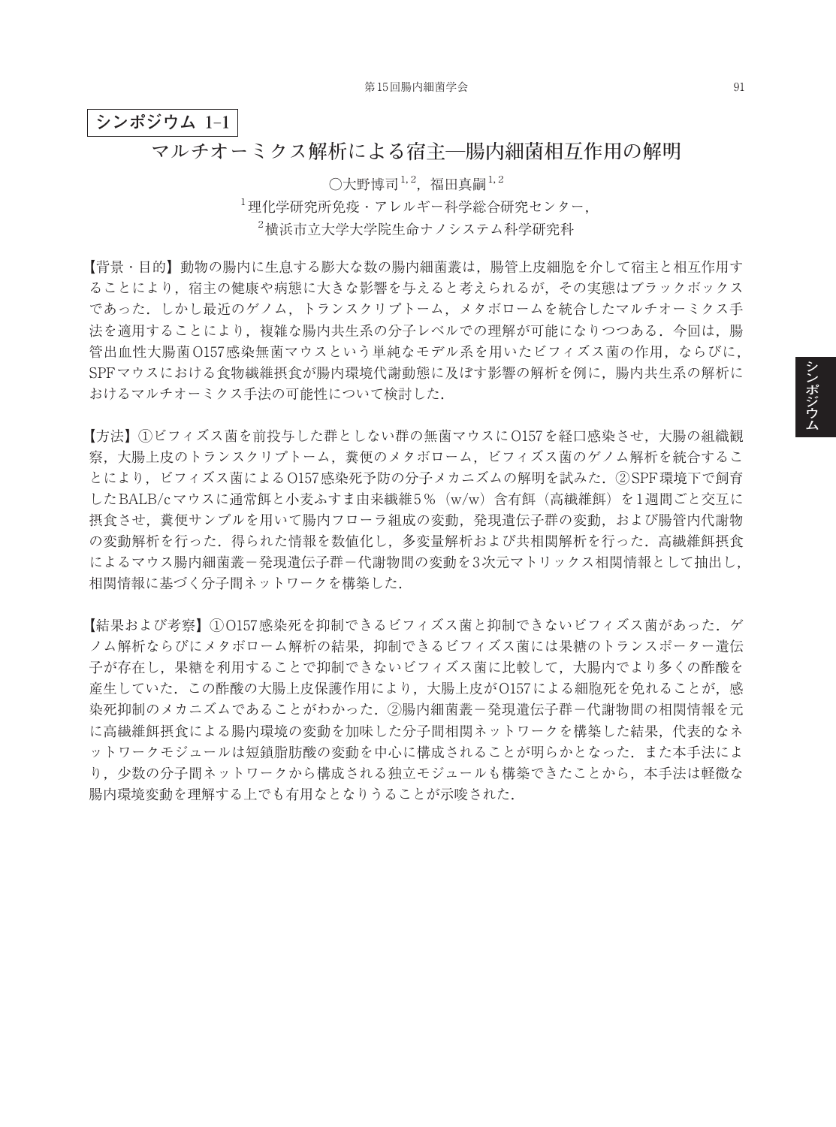## **シンポジウム 1**–**1**

## **マルチオーミクス解析による宿主―腸内細菌相互作用の解明**

 $\bigcirc$ 大野博司 $^{1, 2}$ ,福田真嗣 $^{1, 2}$ 1 理化学研究所免疫・アレルギー科学総合研究センター, 2 横浜市立大学大学院生命ナノシステム科学研究科

【背景・目的】動物の腸内に生息する膨大な数の腸内細菌叢は,腸管上皮細胞を介して宿主と相互作用す ることにより,宿主の健康や病態に大きな影響を与えると考えられるが,その実態はブラックボックス であった.しかし最近のゲノム,トランスクリプトーム,メタボロームを統合したマルチオーミクス手 法を適用することにより、複雑な腸内共生系の分子レベルでの理解が可能になりつつある.今回は、腸 管出血性大腸菌O157感染無菌マウスという単純なモデル系を用いたビフィズス菌の作用,ならびに, SPFマウスにおける食物繊維摂食が腸内環境代謝動態に及ぼす影響の解析を例に,腸内共生系の解析に おけるマルチオーミクス手法の可能性について検討した.

【方法】①ビフィズス菌を前投与した群としない群の無菌マウスにO157を経口感染させ,大腸の組織観 察,大腸上皮のトランスクリプトーム,糞便のメタボローム,ビフィズス菌のゲノム解析を統合するこ とにより,ビフィズス菌によるO157感染死予防の分子メカニズムの解明を試みた.②SPF環境下で飼育 したBALB/cマウスに通常餌と小麦ふすま由来繊維5%(w/w)含有餌(高繊維餌)を1週間ごと交互に 摂食させ,糞便サンプルを用いて腸内フローラ組成の変動,発現遺伝子群の変動,および腸管内代謝物 の変動解析を行った.得られた情報を数値化し,多変量解析および共相関解析を行った.高繊維餌摂食 によるマウス腸内細菌叢-発現遺伝子群-代謝物間の変動を3次元マトリックス相関情報として抽出し, 相関情報に基づく分子間ネットワークを構築した.

【結果および考察】①O157感染死を抑制できるビフィズス菌と抑制できないビフィズス菌があった.ゲ ノム解析ならびにメタボローム解析の結果,抑制できるビフィズス菌には果糖のトランスポーター遺伝 子が存在し,果糖を利用することで抑制できないビフィズス菌に比較して,大腸内でより多くの酢酸を 産生していた. この酢酸の大腸上皮保護作用により,大腸上皮がO157による細胞死を免れることが,感 染死抑制のメカニズムであることがわかった. ②腸内細菌叢-発現遺伝子群-代謝物間の相関情報を元 に高繊維餌摂食による腸内環境の変動を加味した分子間相関ネットワークを構築した結果,代表的なネ ットワークモジュールは短鎖脂肪酸の変動を中心に構成されることが明らかとなった.また本手法によ り、少数の分子間ネットワークから構成される独立モジュールも構築できたことから、本手法は軽微な 腸内環境変動を理解する上でも有用なとなりうることが示唆された.